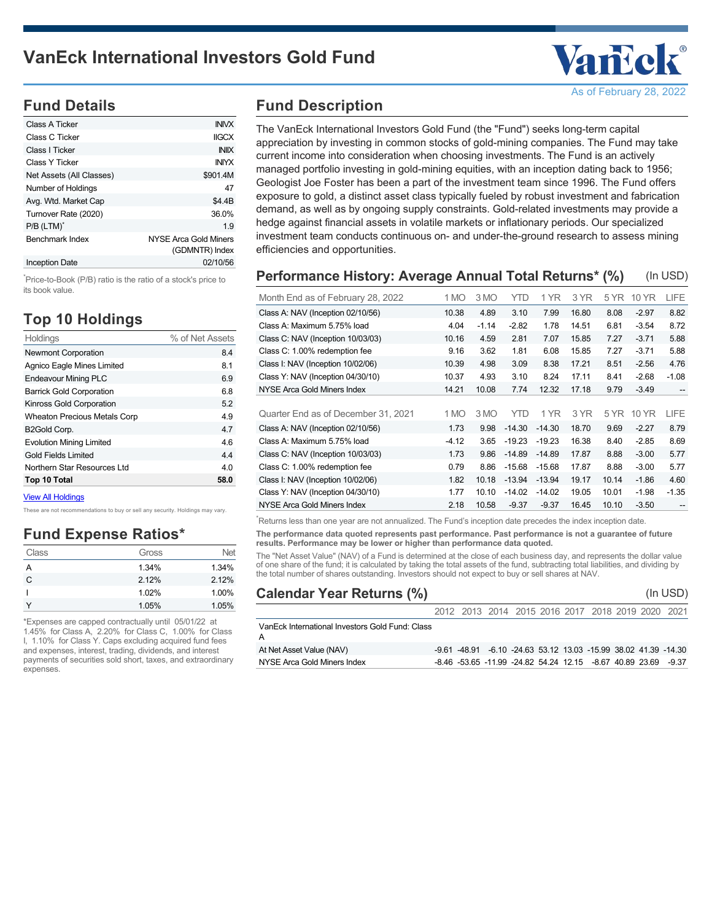

# **Fund Details**

| Class A Ticker           | <b>INIVX</b>                            |
|--------------------------|-----------------------------------------|
| Class C Ticker           | <b>IIGCX</b>                            |
| Class I Ticker           | <b>INIX</b>                             |
| Class Y Ticker           | <b>INIYX</b>                            |
| Net Assets (All Classes) | \$901.4M                                |
| Number of Holdings       | 47                                      |
| Avg. Wtd. Market Cap     | \$4.4B                                  |
| Turnover Rate (2020)     | 36.0%                                   |
| P/B (LTM) <sup>*</sup>   | 1.9                                     |
| <b>Benchmark Index</b>   | NYSE Arca Gold Miners<br>(GDMNTR) Index |
| Inception Date           | 02/10/56                                |

<sup>\*</sup>Price-to-Book (P/B) ratio is the ratio of a stock's price to its book value.

# **Top 10 Holdings**

| Holdings                            | % of Net Assets |
|-------------------------------------|-----------------|
| <b>Newmont Corporation</b>          | 8.4             |
| Agnico Eagle Mines Limited          | 8.1             |
| <b>Endeavour Mining PLC</b>         | 6.9             |
| <b>Barrick Gold Corporation</b>     | 6.8             |
| Kinross Gold Corporation            | 5.2             |
| <b>Wheaton Precious Metals Corp</b> | 4.9             |
| B2Gold Corp.                        | 4.7             |
| <b>Evolution Mining Limited</b>     | 4.6             |
| <b>Gold Fields Limited</b>          | 4.4             |
| Northern Star Resources Ltd         | 4.0             |
| Top 10 Total                        | 58.0            |

[View All Holdings](https://www.vaneck.com/vaneck-funds/mutual-fund/international-investors-gold-fund/iig/holdings-pdf/)

These are not recommendations to buy or sell any security. Holdings may vary.

#### **Fund Expense Ratios\***

| Class | Gross | Net   |
|-------|-------|-------|
| А     | 1.34% | 1.34% |
| C     | 2.12% | 2.12% |
|       | 1.02% | 1.00% |
|       | 1.05% | 1.05% |

\*Expenses are capped contractually until 05/01/22 at 1.45% for Class A, 2.20% for Class C, 1.00% for Class I, 1.10% for Class Y. Caps excluding acquired fund fees and expenses, interest, trading, dividends, and interest payments of securities sold short, taxes, and extraordinary expenses.

# **Fund Description**

The VanEck International Investors Gold Fund (the "Fund") seeks long-term capital appreciation by investing in common stocks of gold-mining companies. The Fund may take current income into consideration when choosing investments. The Fund is an actively managed portfolio investing in gold-mining equities, with an inception dating back to 1956; Geologist Joe Foster has been a part of the investment team since 1996. The Fund offers exposure to gold, a distinct asset class typically fueled by robust investment and fabrication demand, as well as by ongoing supply constraints. Gold-related investments may provide a hedge against financial assets in volatile markets or inflationary periods. Our specialized investment team conducts continuous on- and under-the-ground research to assess mining efficiencies and opportunities.

| Performance History: Average Annual Total Returns* (%)<br>(In USD) |         |         |          |          |       |       |         |                   |
|--------------------------------------------------------------------|---------|---------|----------|----------|-------|-------|---------|-------------------|
| Month End as of February 28, 2022                                  | 1 MO    | 3 MO    | YTD      | 1 YR     | 3 YR  | 5 YR  | 10 YR   | LIFE              |
| Class A: NAV (Inception 02/10/56)                                  | 10.38   | 4.89    | 3.10     | 7.99     | 16.80 | 8.08  | $-2.97$ | 8.82              |
| Class A: Maximum 5.75% load                                        | 4.04    | $-1.14$ | $-2.82$  | 1.78     | 14.51 | 6.81  | $-3.54$ | 8.72              |
| Class C: NAV (Inception 10/03/03)                                  | 10.16   | 4.59    | 2.81     | 7.07     | 15.85 | 7.27  | $-3.71$ | 5.88              |
| Class C: 1.00% redemption fee                                      | 9.16    | 3.62    | 1.81     | 6.08     | 15.85 | 7.27  | $-3.71$ | 5.88              |
| Class I: NAV (Inception 10/02/06)                                  | 10.39   | 4.98    | 3.09     | 8.38     | 17.21 | 8.51  | $-2.56$ | 4.76              |
| Class Y: NAV (Inception 04/30/10)                                  | 10.37   | 4.93    | 3.10     | 8.24     | 17.11 | 8.41  | $-2.68$ | $-1.08$           |
| NYSE Arca Gold Miners Index                                        | 14.21   | 10.08   | 7.74     | 12.32    | 17.18 | 9.79  | $-3.49$ | --                |
|                                                                    |         |         |          |          |       |       |         |                   |
| Quarter End as of December 31, 2021                                | 1 MO    | 3 MO    | YTD      | 1 YR     | 3 YR  | 5 YR  | 10 YR   | LIFE              |
| Class A: NAV (Inception 02/10/56)                                  | 1.73    | 9.98    | $-14.30$ | $-14.30$ | 18.70 | 9.69  | $-2.27$ | 8.79              |
| Class A: Maximum 5.75% load                                        | $-4.12$ | 3.65    | $-19.23$ | $-19.23$ | 16.38 | 8.40  | $-2.85$ | 8.69              |
| Class C: NAV (Inception 10/03/03)                                  | 1.73    | 9.86    | $-14.89$ | $-14.89$ | 17.87 | 8.88  | $-3.00$ | 5.77              |
| Class C: 1.00% redemption fee                                      | 0.79    | 8.86    | $-15.68$ | $-15.68$ | 17.87 | 8.88  | $-3.00$ | 5.77              |
| Class I: NAV (Inception 10/02/06)                                  | 1.82    | 10.18   | $-13.94$ | $-13.94$ | 19.17 | 10.14 | $-1.86$ | 4.60              |
| Class Y: NAV (Inception 04/30/10)                                  | 1.77    | 10.10   | $-14.02$ | $-14.02$ | 19.05 | 10.01 | $-1.98$ | $-1.35$           |
| NYSE Arca Gold Miners Index                                        | 2.18    | 10.58   | $-9.37$  | $-9.37$  | 16.45 | 10.10 | $-3.50$ | $\qquad \qquad -$ |

\*Returns less than one year are not annualized. The Fund's inception date precedes the index inception date.

**The performance data quoted represents past performance. Past performance is not a guarantee of future results. Performance may be lower or higher than performance data quoted.**

The "Net Asset Value" (NAV) of a Fund is determined at the close of each business day, and represents the dollar value of one share of the fund; it is calculated by taking the total assets of the fund, subtracting total liabilities, and dividing by the total number of shares outstanding. Investors should not expect to buy or sell shares at NAV.

| <b>Calendar Year Returns (%)</b>                |                                                                 |  |  |  | (In USD) |
|-------------------------------------------------|-----------------------------------------------------------------|--|--|--|----------|
|                                                 | 2012 2013 2014 2015 2016 2017 2018 2019 2020 2021               |  |  |  |          |
| VanEck International Investors Gold Fund: Class |                                                                 |  |  |  |          |
| At Net Asset Value (NAV)                        | -9.61 -48.91 -6.10 -24.63 53.12 13.03 -15.99 38.02 41.39 -14.30 |  |  |  |          |
| NYSE Arca Gold Miners Index                     | -8.46 -53.65 -11.99 -24.82 54.24 12.15 -8.67 40.89 23.69        |  |  |  | -9.37    |